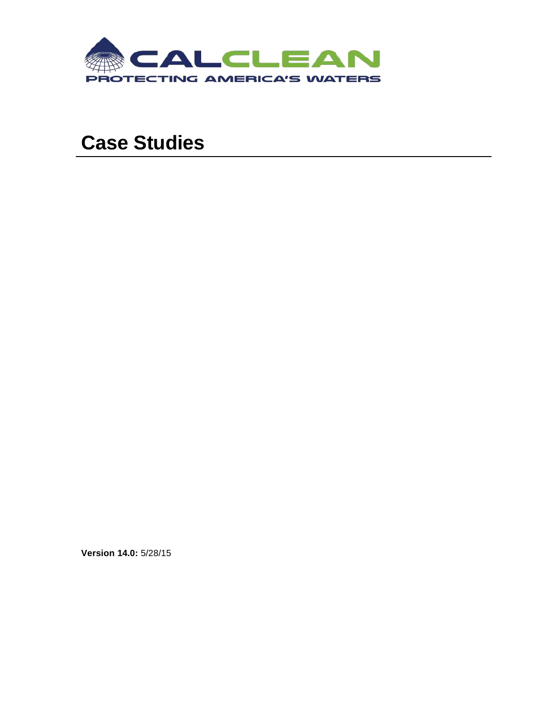

# **Case Studies**

**Version 14.0:** 5/28/15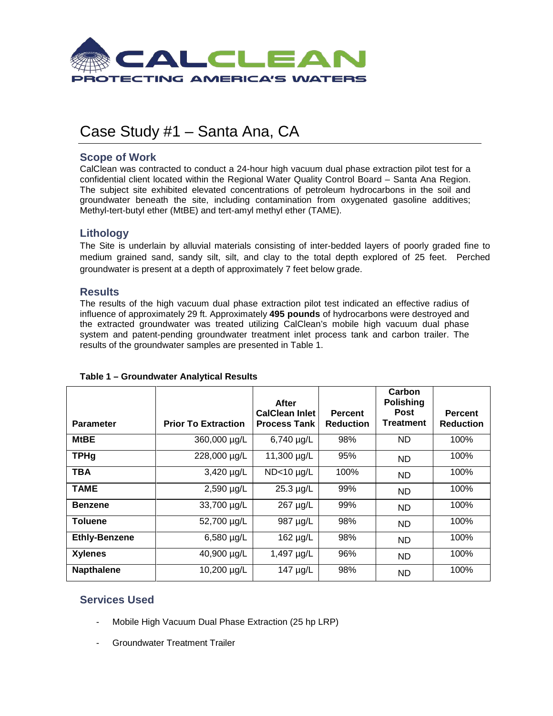

## Case Study #1 – Santa Ana, CA

## **Scope of Work**

CalClean was contracted to conduct a 24-hour high vacuum dual phase extraction pilot test for a confidential client located within the Regional Water Quality Control Board – Santa Ana Region. The subject site exhibited elevated concentrations of petroleum hydrocarbons in the soil and groundwater beneath the site, including contamination from oxygenated gasoline additives; Methyl-tert-butyl ether (MtBE) and tert-amyl methyl ether (TAME).

## **Lithology**

The Site is underlain by alluvial materials consisting of inter-bedded layers of poorly graded fine to medium grained sand, sandy silt, silt, and clay to the total depth explored of 25 feet. Perched groundwater is present at a depth of approximately 7 feet below grade.

### **Results**

The results of the high vacuum dual phase extraction pilot test indicated an effective radius of influence of approximately 29 ft. Approximately **495 pounds** of hydrocarbons were destroyed and the extracted groundwater was treated utilizing CalClean's mobile high vacuum dual phase system and patent-pending groundwater treatment inlet process tank and carbon trailer. The results of the groundwater samples are presented in Table 1.

|                      |                            | After<br><b>CalClean Inlet</b> | <b>Percent</b>   | Carbon<br><b>Polishing</b><br><b>Post</b> | <b>Percent</b>   |
|----------------------|----------------------------|--------------------------------|------------------|-------------------------------------------|------------------|
| <b>Parameter</b>     | <b>Prior To Extraction</b> | <b>Process Tank</b>            | <b>Reduction</b> | <b>Treatment</b>                          | <b>Reduction</b> |
| <b>MtBE</b>          | 360,000 µg/L               | 6,740 µg/L                     | 98%              | ND.                                       | 100%             |
| <b>TPHg</b>          | 228,000 µg/L               | 11,300 µg/L                    | 95%              | <b>ND</b>                                 | 100%             |
| <b>TBA</b>           | 3,420 µg/L                 | $ND<10$ µg/L                   | 100%             | <b>ND</b>                                 | 100%             |
| <b>TAME</b>          | 2,590 µg/L                 | $25.3 \mu g/L$                 | 99%              | <b>ND</b>                                 | 100%             |
| <b>Benzene</b>       | 33,700 µg/L                | 267 µg/L                       | 99%              | <b>ND</b>                                 | 100%             |
| <b>Toluene</b>       | 52,700 µg/L                | 987 µg/L                       | 98%              | <b>ND</b>                                 | 100%             |
| <b>Ethly-Benzene</b> | 6,580 $\mu$ g/L            | 162 µg/L                       | 98%              | <b>ND</b>                                 | 100%             |
| <b>Xylenes</b>       | 40,900 µg/L                | 1,497 µg/L                     | 96%              | <b>ND</b>                                 | 100%             |
| <b>Napthalene</b>    | 10,200 µg/L                | 147 µg/L                       | 98%              | <b>ND</b>                                 | 100%             |

#### **Table 1 – Groundwater Analytical Results**

- Mobile High Vacuum Dual Phase Extraction (25 hp LRP)
- Groundwater Treatment Trailer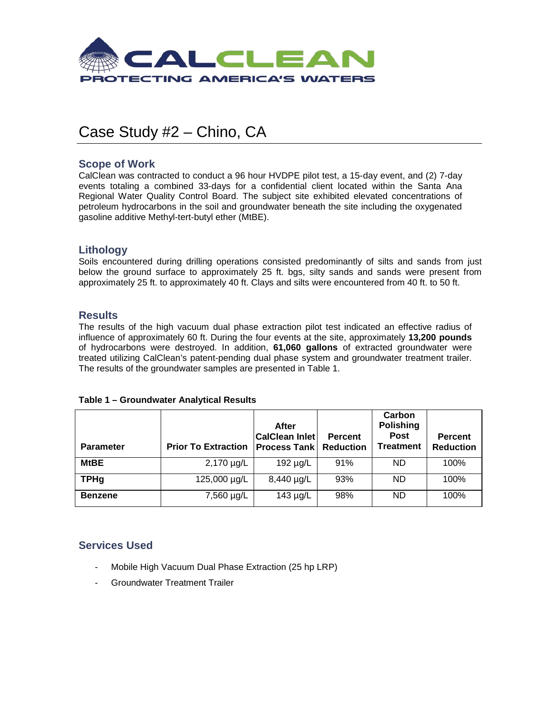

## Case Study #2 – Chino, CA

## **Scope of Work**

CalClean was contracted to conduct a 96 hour HVDPE pilot test, a 15-day event, and (2) 7-day events totaling a combined 33-days for a confidential client located within the Santa Ana Regional Water Quality Control Board. The subject site exhibited elevated concentrations of petroleum hydrocarbons in the soil and groundwater beneath the site including the oxygenated gasoline additive Methyl-tert-butyl ether (MtBE).

## **Lithology**

Soils encountered during drilling operations consisted predominantly of silts and sands from just below the ground surface to approximately 25 ft. bgs, silty sands and sands were present from approximately 25 ft. to approximately 40 ft. Clays and silts were encountered from 40 ft. to 50 ft.

## **Results**

The results of the high vacuum dual phase extraction pilot test indicated an effective radius of influence of approximately 60 ft. During the four events at the site, approximately **13,200 pounds**  of hydrocarbons were destroyed. In addition, **61,060 gallons** of extracted groundwater were treated utilizing CalClean's patent-pending dual phase system and groundwater treatment trailer. The results of the groundwater samples are presented in Table 1.

| Table 1 - Groundwater Analytical Results |  |  |
|------------------------------------------|--|--|
|------------------------------------------|--|--|

| <b>Parameter</b> | <b>Prior To Extraction</b> | After<br><b>CalClean Inlet</b><br><b>Process Tank Reduction</b> | Percent | Carbon<br><b>Polishing</b><br><b>Post</b><br><b>Treatment</b> | <b>Percent</b><br><b>Reduction</b> |
|------------------|----------------------------|-----------------------------------------------------------------|---------|---------------------------------------------------------------|------------------------------------|
| <b>MtBE</b>      | 2,170 µg/L                 | 192 $\mu$ g/L                                                   | 91%     | ND.                                                           | 100%                               |
| <b>TPHg</b>      | 125,000 µg/L               | $8,440 \mu g/L$                                                 | 93%     | ND.                                                           | 100%                               |
| <b>Benzene</b>   | 7,560 µg/L                 | $143 \mu g/L$                                                   | 98%     | ND.                                                           | 100%                               |

- Mobile High Vacuum Dual Phase Extraction (25 hp LRP)
- Groundwater Treatment Trailer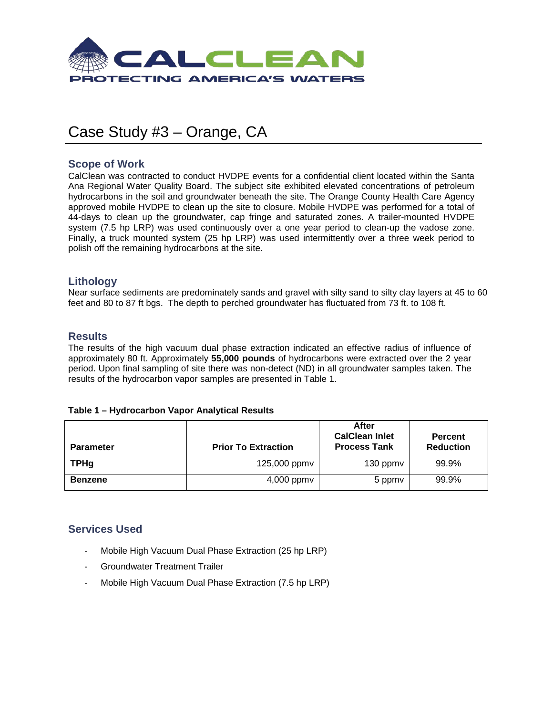

## Case Study #3 – Orange, CA

## **Scope of Work**

CalClean was contracted to conduct HVDPE events for a confidential client located within the Santa Ana Regional Water Quality Board. The subject site exhibited elevated concentrations of petroleum hydrocarbons in the soil and groundwater beneath the site. The Orange County Health Care Agency approved mobile HVDPE to clean up the site to closure. Mobile HVDPE was performed for a total of 44-days to clean up the groundwater, cap fringe and saturated zones. A trailer-mounted HVDPE system (7.5 hp LRP) was used continuously over a one year period to clean-up the vadose zone. Finally, a truck mounted system (25 hp LRP) was used intermittently over a three week period to polish off the remaining hydrocarbons at the site.

## **Lithology**

Near surface sediments are predominately sands and gravel with silty sand to silty clay layers at 45 to 60 feet and 80 to 87 ft bgs. The depth to perched groundwater has fluctuated from 73 ft. to 108 ft.

## **Results**

The results of the high vacuum dual phase extraction indicated an effective radius of influence of approximately 80 ft. Approximately **55,000 pounds** of hydrocarbons were extracted over the 2 year period. Upon final sampling of site there was non-detect (ND) in all groundwater samples taken. The results of the hydrocarbon vapor samples are presented in Table 1.

#### **Table 1 – Hydrocarbon Vapor Analytical Results**

| <b>Parameter</b> | <b>Prior To Extraction</b> | After<br><b>CalClean Inlet</b><br><b>Process Tank</b> | <b>Percent</b><br><b>Reduction</b> |
|------------------|----------------------------|-------------------------------------------------------|------------------------------------|
| <b>TPHg</b>      | 125,000 ppmv               | 130 ppmv                                              | 99.9%                              |
| Benzene          | $4,000$ ppm $v$            | 5 ppmy                                                | 99.9%                              |

- Mobile High Vacuum Dual Phase Extraction (25 hp LRP)
- Groundwater Treatment Trailer
- Mobile High Vacuum Dual Phase Extraction (7.5 hp LRP)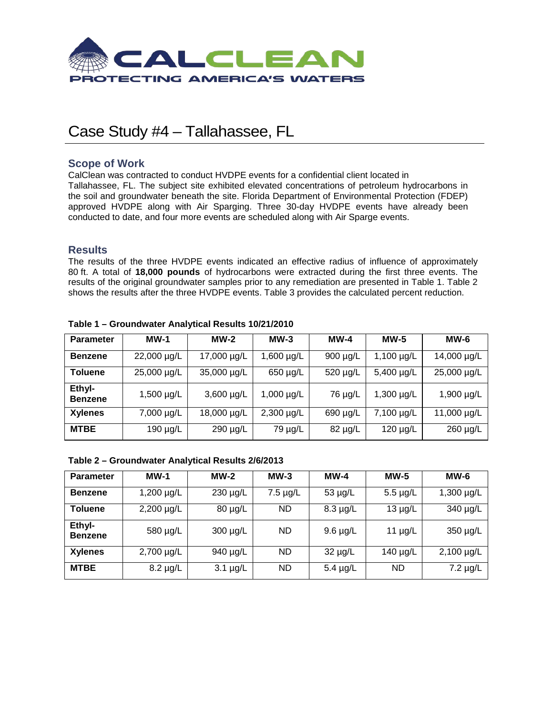

## Case Study #4 – Tallahassee, FL

## **Scope of Work**

CalClean was contracted to conduct HVDPE events for a confidential client located in Tallahassee, FL. The subject site exhibited elevated concentrations of petroleum hydrocarbons in the soil and groundwater beneath the site. Florida Department of Environmental Protection (FDEP) approved HVDPE along with Air Sparging. Three 30-day HVDPE events have already been conducted to date, and four more events are scheduled along with Air Sparge events.

## **Results**

The results of the three HVDPE events indicated an effective radius of influence of approximately 80 ft. A total of **18,000 pounds** of hydrocarbons were extracted during the first three events. The results of the original groundwater samples prior to any remediation are presented in Table 1. Table 2 shows the results after the three HVDPE events. Table 3 provides the calculated percent reduction.

| <b>Parameter</b>         | $MW-1$          | $MW-2$      | $MW-3$          | $MW-4$        | $MW-5$          | $MW-6$        |
|--------------------------|-----------------|-------------|-----------------|---------------|-----------------|---------------|
| <b>Benzene</b>           | 22,000 µg/L     | 17,000 µg/L | 1,600 $\mu$ g/L | $900 \mu g/L$ | $1,100 \mu g/L$ | 14,000 µg/L   |
| <b>Toluene</b>           | 25,000 µg/L     | 35,000 µg/L | 650 µg/L        | 520 µg/L      | 5,400 µg/L      | 25,000 µg/L   |
| Ethyl-<br><b>Benzene</b> | 1,500 $\mu$ g/L | 3,600 µg/L  | $1,000 \mu g/L$ | 76 µg/L       | $1,300 \mu g/L$ | 1,900 µg/L    |
| <b>Xylenes</b>           | 7,000 µg/L      | 18,000 µg/L | $2,300 \mu g/L$ | 690 µg/L      | 7,100 µg/L      | 11,000 µg/L   |
| <b>MTBE</b>              | 190 µg/L        | 290 µg/L    | 79 µg/L         | 82 µg/L       | 120 µg/L        | $260 \mu g/L$ |

#### **Table 1 – Groundwater Analytical Results 10/21/2010**

#### **Table 2 – Groundwater Analytical Results 2/6/2013**

| <b>Parameter</b>         | $MW-1$          | $MW-2$        | $MW-3$        | $MW-4$        | <b>MW-5</b>   | $MW-6$          |
|--------------------------|-----------------|---------------|---------------|---------------|---------------|-----------------|
| <b>Benzene</b>           | $1,200 \mu g/L$ | 230 µg/L      | $7.5 \mu g/L$ | $53 \mu g/L$  | $5.5 \mu g/L$ | $1,300 \mu g/L$ |
| <b>Toluene</b>           | 2,200 µg/L      | 80 µg/L       | ND            | $8.3 \mu g/L$ | $13 \mu g/L$  | 340 µg/L        |
| Ethyl-<br><b>Benzene</b> | 580 µg/L        | 300 µg/L      | <b>ND</b>     | $9.6 \mu g/L$ | 11 $\mu$ g/L  | 350 µg/L        |
| <b>Xylenes</b>           | 2,700 µg/L      | 940 µg/L      | <b>ND</b>     | $32 \mu g/L$  | 140 µg/L      | $2,100 \mu g/L$ |
| <b>MTBE</b>              | $8.2 \mu g/L$   | $3.1 \mu g/L$ | <b>ND</b>     | $5.4 \mu g/L$ | <b>ND</b>     | $7.2 \mu g/L$   |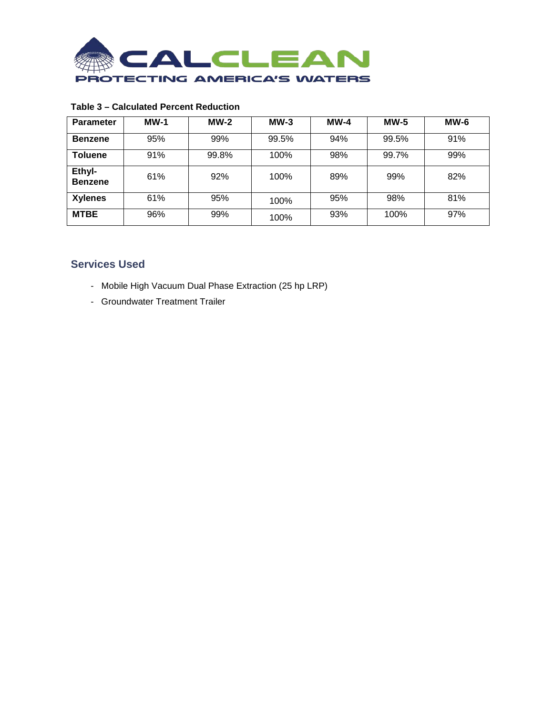

## **Table 3 – Calculated Percent Reduction**

| <b>Parameter</b>         | $MW-1$ | $MW-2$ | $MW-3$ | $MW-4$ | $MW-5$ | $MW-6$ |
|--------------------------|--------|--------|--------|--------|--------|--------|
| <b>Benzene</b>           | 95%    | 99%    | 99.5%  | 94%    | 99.5%  | 91%    |
| <b>Toluene</b>           | 91%    | 99.8%  | 100%   | 98%    | 99.7%  | 99%    |
| Ethyl-<br><b>Benzene</b> | 61%    | 92%    | 100%   | 89%    | 99%    | 82%    |
| <b>Xylenes</b>           | 61%    | 95%    | 100%   | 95%    | 98%    | 81%    |
| <b>MTBE</b>              | 96%    | 99%    | 100%   | 93%    | 100%   | 97%    |

- Mobile High Vacuum Dual Phase Extraction (25 hp LRP)
- Groundwater Treatment Trailer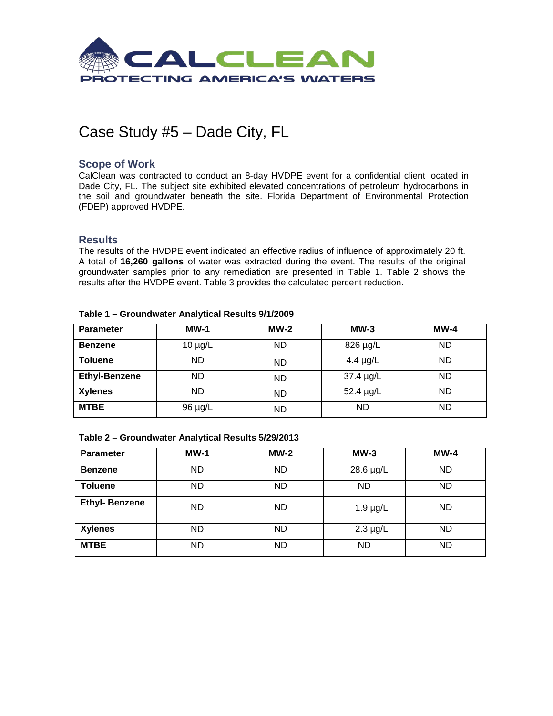

## Case Study #5 – Dade City, FL

## **Scope of Work**

CalClean was contracted to conduct an 8-day HVDPE event for a confidential client located in Dade City, FL. The subject site exhibited elevated concentrations of petroleum hydrocarbons in the soil and groundwater beneath the site. Florida Department of Environmental Protection (FDEP) approved HVDPE.

### **Results**

The results of the HVDPE event indicated an effective radius of influence of approximately 20 ft. A total of **16,260 gallons** of water was extracted during the event. The results of the original groundwater samples prior to any remediation are presented in Table 1. Table 2 shows the results after the HVDPE event. Table 3 provides the calculated percent reduction.

| <b>Parameter</b>     | $MW-1$       | $MW-2$    | $MW-3$        | $MW-4$    |
|----------------------|--------------|-----------|---------------|-----------|
| <b>Benzene</b>       | $10 \mu g/L$ | <b>ND</b> | 826 µg/L      | <b>ND</b> |
| <b>Toluene</b>       | <b>ND</b>    | <b>ND</b> | 4.4 $\mu$ g/L | <b>ND</b> |
| <b>Ethyl-Benzene</b> | <b>ND</b>    | <b>ND</b> | 37.4 µg/L     | <b>ND</b> |
| <b>Xylenes</b>       | <b>ND</b>    | <b>ND</b> | 52.4 µg/L     | <b>ND</b> |
| <b>MTBE</b>          | 96 µg/L      | <b>ND</b> | <b>ND</b>     | ND        |

#### **Table 1 – Groundwater Analytical Results 9/1/2009**

#### **Table 2 – Groundwater Analytical Results 5/29/2013**

| <b>Parameter</b>      | $MW-1$    | $MW-2$    | $MW-3$        | $MW-4$    |
|-----------------------|-----------|-----------|---------------|-----------|
| <b>Benzene</b>        | <b>ND</b> | ND        | 28.6 µg/L     | ND.       |
| <b>Toluene</b>        | <b>ND</b> | ND        | ND            | <b>ND</b> |
| <b>Ethyl- Benzene</b> | <b>ND</b> | <b>ND</b> | $1.9 \mu g/L$ | <b>ND</b> |
| <b>Xylenes</b>        | <b>ND</b> | ND        | $2.3 \mu g/L$ | ND.       |
| <b>MTBE</b>           | <b>ND</b> | ND        | <b>ND</b>     | ND.       |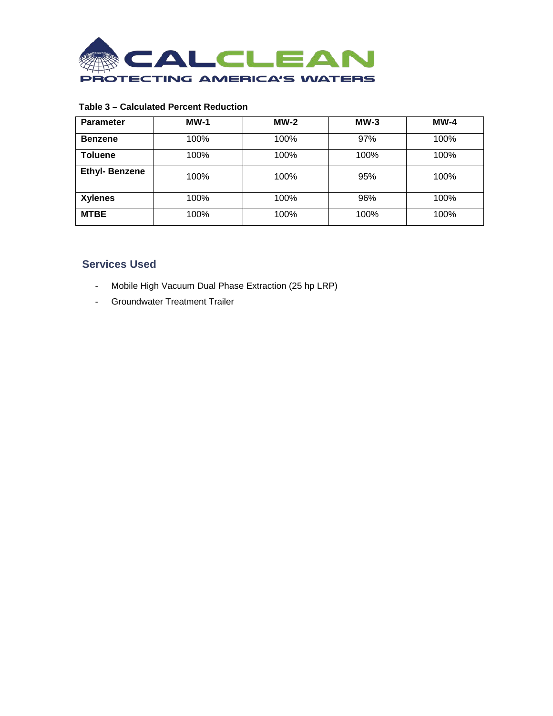

## **Table 3 – Calculated Percent Reduction**

| <b>Parameter</b>     | $MW-1$ | $MW-2$ | $MW-3$ | $MW-4$ |
|----------------------|--------|--------|--------|--------|
| <b>Benzene</b>       | 100%   | 100%   | 97%    | 100%   |
| <b>Toluene</b>       | 100%   | 100%   | 100%   | 100%   |
| <b>Ethyl-Benzene</b> | 100%   | 100%   | 95%    | 100%   |
| <b>Xylenes</b>       | 100%   | 100%   | 96%    | 100%   |
| <b>MTBE</b>          | 100%   | 100%   | 100%   | 100%   |

- Mobile High Vacuum Dual Phase Extraction (25 hp LRP)
- Groundwater Treatment Trailer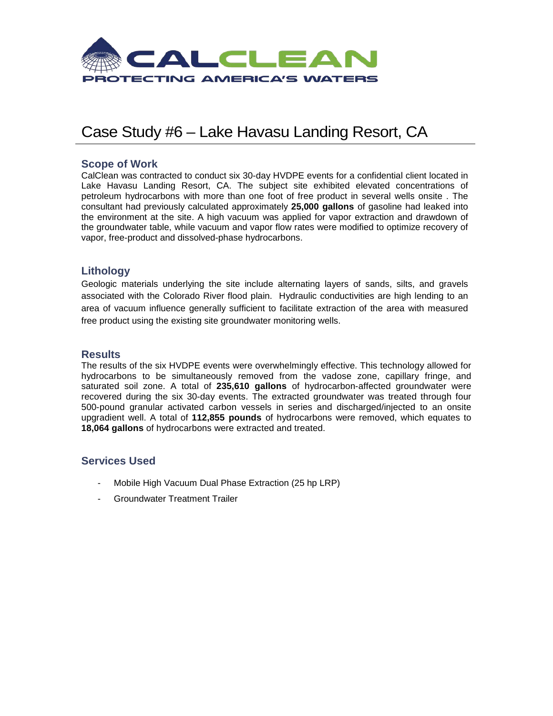

## Case Study #6 – Lake Havasu Landing Resort, CA

## **Scope of Work**

CalClean was contracted to conduct six 30-day HVDPE events for a confidential client located in Lake Havasu Landing Resort, CA. The subject site exhibited elevated concentrations of petroleum hydrocarbons with more than one foot of free product in several wells onsite . The consultant had previously calculated approximately **25,000 gallons** of gasoline had leaked into the environment at the site. A high vacuum was applied for vapor extraction and drawdown of the groundwater table, while vacuum and vapor flow rates were modified to optimize recovery of vapor, free-product and dissolved-phase hydrocarbons.

## **Lithology**

Geologic materials underlying the site include alternating layers of sands, silts, and gravels associated with the Colorado River flood plain. Hydraulic conductivities are high lending to an area of vacuum influence generally sufficient to facilitate extraction of the area with measured free product using the existing site groundwater monitoring wells.

## **Results**

The results of the six HVDPE events were overwhelmingly effective. This technology allowed for hydrocarbons to be simultaneously removed from the vadose zone, capillary fringe, and saturated soil zone. A total of **235,610 gallons** of hydrocarbon-affected groundwater were recovered during the six 30-day events. The extracted groundwater was treated through four 500-pound granular activated carbon vessels in series and discharged/injected to an onsite upgradient well. A total of **112,855 pounds** of hydrocarbons were removed, which equates to **18,064 gallons** of hydrocarbons were extracted and treated.

- Mobile High Vacuum Dual Phase Extraction (25 hp LRP)
- Groundwater Treatment Trailer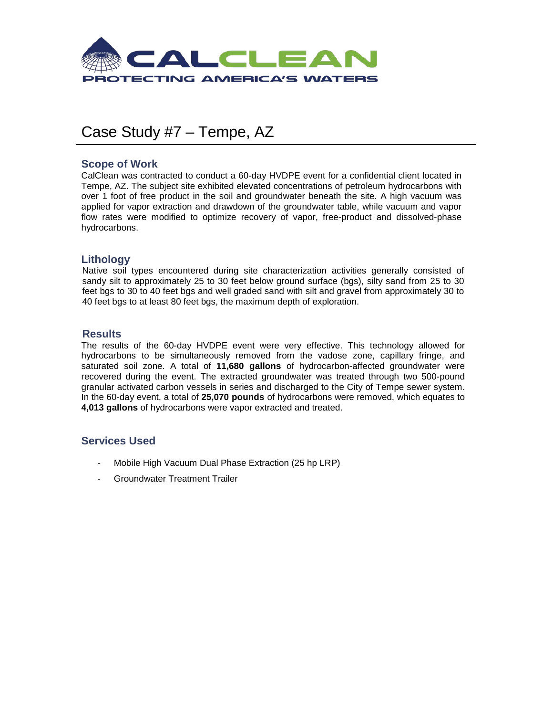

## Case Study #7 – Tempe, AZ

## **Scope of Work**

CalClean was contracted to conduct a 60-day HVDPE event for a confidential client located in Tempe, AZ. The subject site exhibited elevated concentrations of petroleum hydrocarbons with over 1 foot of free product in the soil and groundwater beneath the site. A high vacuum was applied for vapor extraction and drawdown of the groundwater table, while vacuum and vapor flow rates were modified to optimize recovery of vapor, free-product and dissolved-phase hydrocarbons.

## **Lithology**

Native soil types encountered during site characterization activities generally consisted of sandy silt to approximately 25 to 30 feet below ground surface (bgs), silty sand from 25 to 30 feet bgs to 30 to 40 feet bgs and well graded sand with silt and gravel from approximately 30 to 40 feet bgs to at least 80 feet bgs, the maximum depth of exploration.

### **Results**

The results of the 60-day HVDPE event were very effective. This technology allowed for hydrocarbons to be simultaneously removed from the vadose zone, capillary fringe, and saturated soil zone. A total of **11,680 gallons** of hydrocarbon-affected groundwater were recovered during the event. The extracted groundwater was treated through two 500-pound granular activated carbon vessels in series and discharged to the City of Tempe sewer system. In the 60-day event, a total of **25,070 pounds** of hydrocarbons were removed, which equates to **4,013 gallons** of hydrocarbons were vapor extracted and treated.

- Mobile High Vacuum Dual Phase Extraction (25 hp LRP)
- Groundwater Treatment Trailer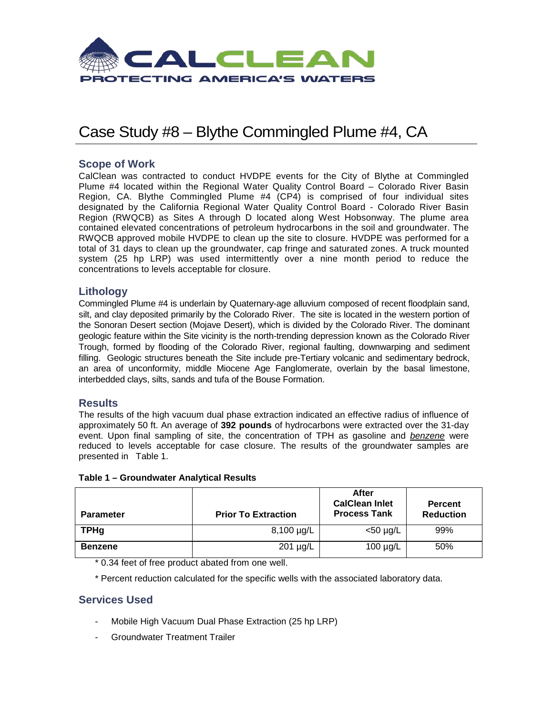

## Case Study #8 – Blythe Commingled Plume #4, CA

## **Scope of Work**

CalClean was contracted to conduct HVDPE events for the City of Blythe at Commingled Plume #4 located within the Regional Water Quality Control Board – Colorado River Basin Region, CA. Blythe Commingled Plume #4 (CP4) is comprised of four individual sites designated by the California Regional Water Quality Control Board - Colorado River Basin Region (RWQCB) as Sites A through D located along West Hobsonway. The plume area contained elevated concentrations of petroleum hydrocarbons in the soil and groundwater. The RWQCB approved mobile HVDPE to clean up the site to closure. HVDPE was performed for a total of 31 days to clean up the groundwater, cap fringe and saturated zones. A truck mounted system (25 hp LRP) was used intermittently over a nine month period to reduce the concentrations to levels acceptable for closure.

## **Lithology**

Commingled Plume #4 is underlain by Quaternary-age alluvium composed of recent floodplain sand, silt, and clay deposited primarily by the Colorado River. The site is located in the western portion of the Sonoran Desert section (Mojave Desert), which is divided by the Colorado River. The dominant geologic feature within the Site vicinity is the north-trending depression known as the Colorado River Trough, formed by flooding of the Colorado River, regional faulting, downwarping and sediment filling. Geologic structures beneath the Site include pre-Tertiary volcanic and sedimentary bedrock, an area of unconformity, middle Miocene Age Fanglomerate, overlain by the basal limestone, interbedded clays, silts, sands and tufa of the Bouse Formation.

### **Results**

The results of the high vacuum dual phase extraction indicated an effective radius of influence of approximately 50 ft. An average of **392 pounds** of hydrocarbons were extracted over the 31-day event. Upon final sampling of site, the concentration of TPH as gasoline and *benzene* were reduced to levels acceptable for case closure. The results of the groundwater samples are presented in Table 1.

| <b>Parameter</b> | <b>Prior To Extraction</b> | After<br><b>CalClean Inlet</b><br><b>Process Tank</b> | <b>Percent</b><br><b>Reduction</b> |
|------------------|----------------------------|-------------------------------------------------------|------------------------------------|
| <b>TPHg</b>      | $8,100 \mu g/L$            | <50 µg/L                                              | 99%                                |
| <b>Benzene</b>   | 201 µg/L                   | 100 $\mu$ g/L                                         | 50%                                |

**Table 1 – Groundwater Analytical Results**

\* 0.34 feet of free product abated from one well.

\* Percent reduction calculated for the specific wells with the associated laboratory data.

- Mobile High Vacuum Dual Phase Extraction (25 hp LRP)
- Groundwater Treatment Trailer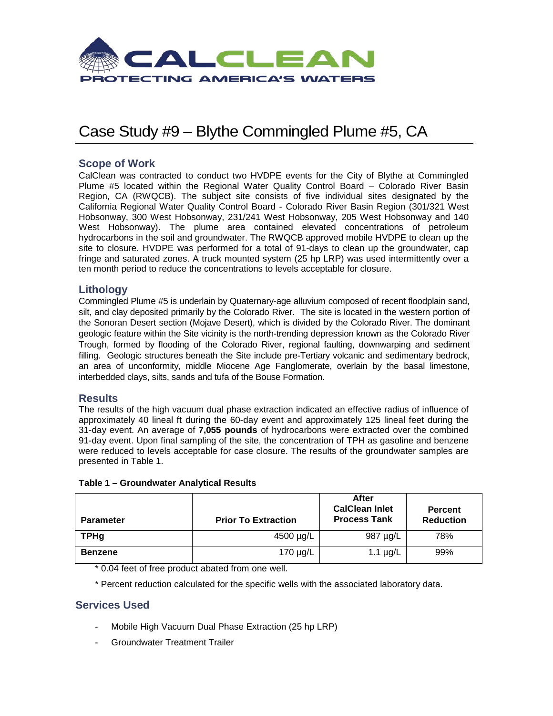

## Case Study #9 – Blythe Commingled Plume #5, CA

## **Scope of Work**

CalClean was contracted to conduct two HVDPE events for the City of Blythe at Commingled Plume #5 located within the Regional Water Quality Control Board – Colorado River Basin Region, CA (RWQCB). The subject site consists of five individual sites designated by the California Regional Water Quality Control Board - Colorado River Basin Region (301/321 West Hobsonway, 300 West Hobsonway, 231/241 West Hobsonway, 205 West Hobsonway and 140 West Hobsonway). The plume area contained elevated concentrations of petroleum hydrocarbons in the soil and groundwater. The RWQCB approved mobile HVDPE to clean up the site to closure. HVDPE was performed for a total of 91-days to clean up the groundwater, cap fringe and saturated zones. A truck mounted system (25 hp LRP) was used intermittently over a ten month period to reduce the concentrations to levels acceptable for closure.

## **Lithology**

Commingled Plume #5 is underlain by Quaternary-age alluvium composed of recent floodplain sand, silt, and clay deposited primarily by the Colorado River. The site is located in the western portion of the Sonoran Desert section (Mojave Desert), which is divided by the Colorado River. The dominant geologic feature within the Site vicinity is the north-trending depression known as the Colorado River Trough, formed by flooding of the Colorado River, regional faulting, downwarping and sediment filling. Geologic structures beneath the Site include pre-Tertiary volcanic and sedimentary bedrock, an area of unconformity, middle Miocene Age Fanglomerate, overlain by the basal limestone, interbedded clays, silts, sands and tufa of the Bouse Formation.

## **Results**

The results of the high vacuum dual phase extraction indicated an effective radius of influence of approximately 40 lineal ft during the 60-day event and approximately 125 lineal feet during the 31-day event. An average of **7,055 pounds** of hydrocarbons were extracted over the combined 91-day event. Upon final sampling of the site, the concentration of TPH as gasoline and benzene were reduced to levels acceptable for case closure. The results of the groundwater samples are presented in Table 1.

| Table 1 - Groundwater Analytical Results |  |  |
|------------------------------------------|--|--|
|------------------------------------------|--|--|

| <b>Parameter</b> | <b>Prior To Extraction</b> | After<br><b>CalClean Inlet</b><br><b>Process Tank</b> | <b>Percent</b><br><b>Reduction</b> |
|------------------|----------------------------|-------------------------------------------------------|------------------------------------|
| <b>TPHg</b>      | 4500 µg/L                  | 987 µg/L                                              | 78%                                |
| <b>Benzene</b>   | 170 µg/L                   | 1.1 $\mu$ g/L                                         | 99%                                |

\* 0.04 feet of free product abated from one well.

\* Percent reduction calculated for the specific wells with the associated laboratory data.

- Mobile High Vacuum Dual Phase Extraction (25 hp LRP)
- Groundwater Treatment Trailer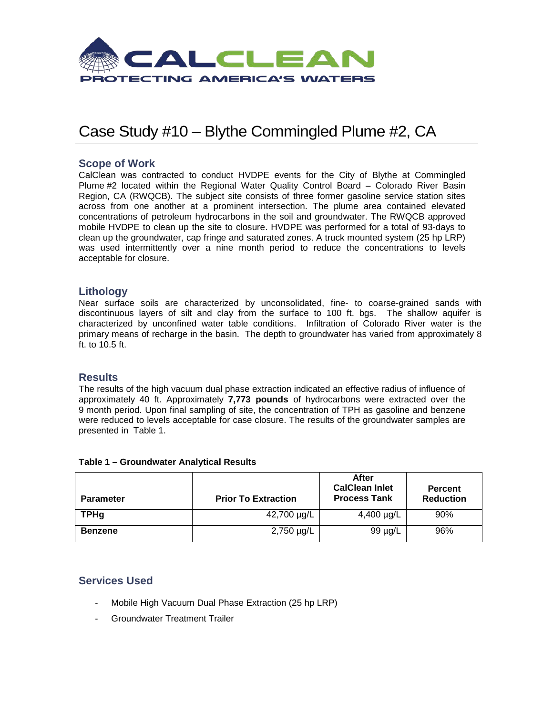

## Case Study #10 – Blythe Commingled Plume #2, CA

## **Scope of Work**

CalClean was contracted to conduct HVDPE events for the City of Blythe at Commingled Plume #2 located within the Regional Water Quality Control Board – Colorado River Basin Region, CA (RWQCB). The subject site consists of three former gasoline service station sites across from one another at a prominent intersection. The plume area contained elevated concentrations of petroleum hydrocarbons in the soil and groundwater. The RWQCB approved mobile HVDPE to clean up the site to closure. HVDPE was performed for a total of 93-days to clean up the groundwater, cap fringe and saturated zones. A truck mounted system (25 hp LRP) was used intermittently over a nine month period to reduce the concentrations to levels acceptable for closure.

### **Lithology**

Near surface soils are characterized by unconsolidated, fine- to coarse-grained sands with discontinuous layers of silt and clay from the surface to 100 ft. bgs. The shallow aquifer is characterized by unconfined water table conditions. Infiltration of Colorado River water is the primary means of recharge in the basin. The depth to groundwater has varied from approximately 8 ft. to 10.5 ft.

#### **Results**

The results of the high vacuum dual phase extraction indicated an effective radius of influence of approximately 40 ft. Approximately **7,773 pounds** of hydrocarbons were extracted over the 9 month period. Upon final sampling of site, the concentration of TPH as gasoline and benzene were reduced to levels acceptable for case closure. The results of the groundwater samples are presented in Table 1.

| <b>Parameter</b> | <b>Prior To Extraction</b> | After<br><b>CalClean Inlet</b><br><b>Process Tank</b> | <b>Percent</b><br><b>Reduction</b> |
|------------------|----------------------------|-------------------------------------------------------|------------------------------------|
| <b>TPHg</b>      | 42,700 µg/L                | 4,400 $\mu$ g/L                                       | 90%                                |
| <b>Benzene</b>   | $2,750 \mu g/L$            | 99 µg/L                                               | 96%                                |

#### **Table 1 – Groundwater Analytical Results**

- Mobile High Vacuum Dual Phase Extraction (25 hp LRP)
- Groundwater Treatment Trailer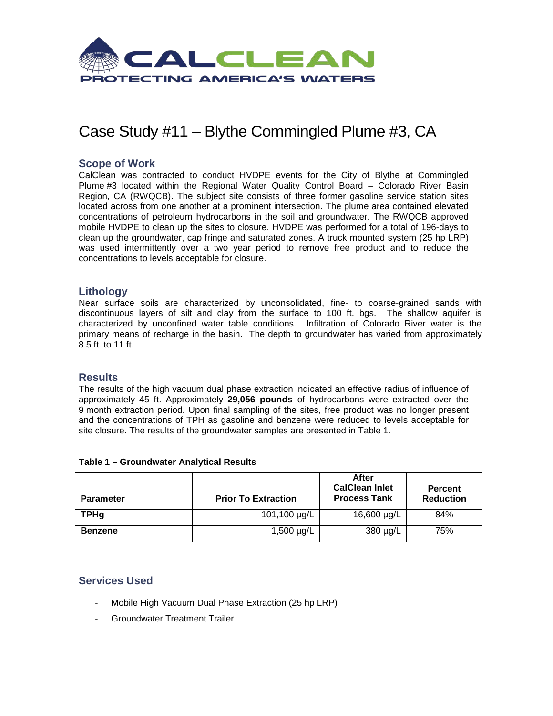

## Case Study #11 – Blythe Commingled Plume #3, CA

## **Scope of Work**

CalClean was contracted to conduct HVDPE events for the City of Blythe at Commingled Plume #3 located within the Regional Water Quality Control Board – Colorado River Basin Region, CA (RWQCB). The subject site consists of three former gasoline service station sites located across from one another at a prominent intersection. The plume area contained elevated concentrations of petroleum hydrocarbons in the soil and groundwater. The RWQCB approved mobile HVDPE to clean up the sites to closure. HVDPE was performed for a total of 196-days to clean up the groundwater, cap fringe and saturated zones. A truck mounted system (25 hp LRP) was used intermittently over a two year period to remove free product and to reduce the concentrations to levels acceptable for closure.

#### **Lithology**

Near surface soils are characterized by unconsolidated, fine- to coarse-grained sands with discontinuous layers of silt and clay from the surface to 100 ft. bgs. The shallow aquifer is characterized by unconfined water table conditions. Infiltration of Colorado River water is the primary means of recharge in the basin. The depth to groundwater has varied from approximately 8.5 ft. to 11 ft.

#### **Results**

The results of the high vacuum dual phase extraction indicated an effective radius of influence of approximately 45 ft. Approximately **29,056 pounds** of hydrocarbons were extracted over the 9 month extraction period. Upon final sampling of the sites, free product was no longer present and the concentrations of TPH as gasoline and benzene were reduced to levels acceptable for site closure. The results of the groundwater samples are presented in Table 1.

| <b>Parameter</b> | <b>Prior To Extraction</b> | After<br><b>CalClean Inlet</b><br><b>Process Tank</b> | <b>Percent</b><br><b>Reduction</b> |
|------------------|----------------------------|-------------------------------------------------------|------------------------------------|
| <b>TPHg</b>      | 101,100 µg/L               | 16,600 µg/L                                           | 84%                                |
| <b>Benzene</b>   | $1,500 \mu g/L$            | 380 µg/L                                              | 75%                                |

#### **Table 1 – Groundwater Analytical Results**

- Mobile High Vacuum Dual Phase Extraction (25 hp LRP)
- Groundwater Treatment Trailer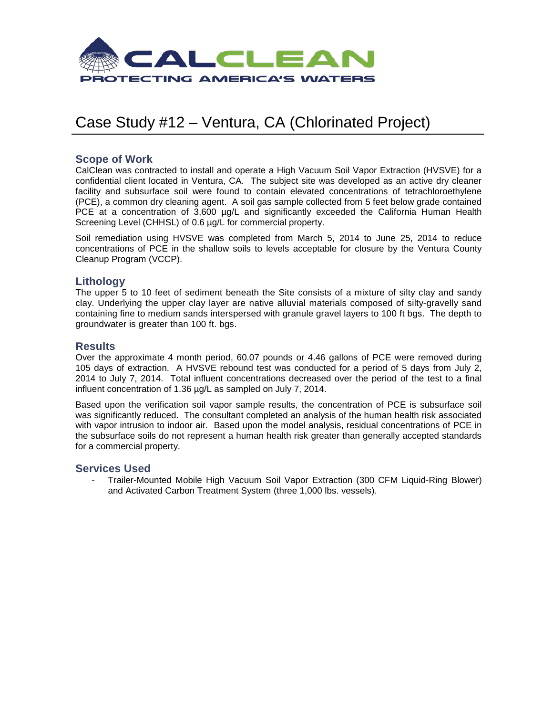

## Case Study #12 – Ventura, CA (Chlorinated Project)

## **Scope of Work**

CalClean was contracted to install and operate a High Vacuum Soil Vapor Extraction (HVSVE) for a confidential client located in Ventura, CA. The subject site was developed as an active dry cleaner facility and subsurface soil were found to contain elevated concentrations of tetrachloroethylene (PCE), a common dry cleaning agent. A soil gas sample collected from 5 feet below grade contained PCE at a concentration of 3,600 µg/L and significantly exceeded the California Human Health Screening Level (CHHSL) of 0.6 µg/L for commercial property.

Soil remediation using HVSVE was completed from March 5, 2014 to June 25, 2014 to reduce concentrations of PCE in the shallow soils to levels acceptable for closure by the Ventura County Cleanup Program (VCCP).

### **Lithology**

The upper 5 to 10 feet of sediment beneath the Site consists of a mixture of silty clay and sandy clay. Underlying the upper clay layer are native alluvial materials composed of silty-gravelly sand containing fine to medium sands interspersed with granule gravel layers to 100 ft bgs. The depth to groundwater is greater than 100 ft. bgs.

### **Results**

Over the approximate 4 month period, 60.07 pounds or 4.46 gallons of PCE were removed during 105 days of extraction. A HVSVE rebound test was conducted for a period of 5 days from July 2, 2014 to July 7, 2014. Total influent concentrations decreased over the period of the test to a final influent concentration of 1.36 µg/L as sampled on July 7, 2014.

Based upon the verification soil vapor sample results, the concentration of PCE is subsurface soil was significantly reduced. The consultant completed an analysis of the human health risk associated with vapor intrusion to indoor air. Based upon the model analysis, residual concentrations of PCE in the subsurface soils do not represent a human health risk greater than generally accepted standards for a commercial property.

### **Services Used**

- Trailer-Mounted Mobile High Vacuum Soil Vapor Extraction (300 CFM Liquid-Ring Blower) and Activated Carbon Treatment System (three 1,000 lbs. vessels).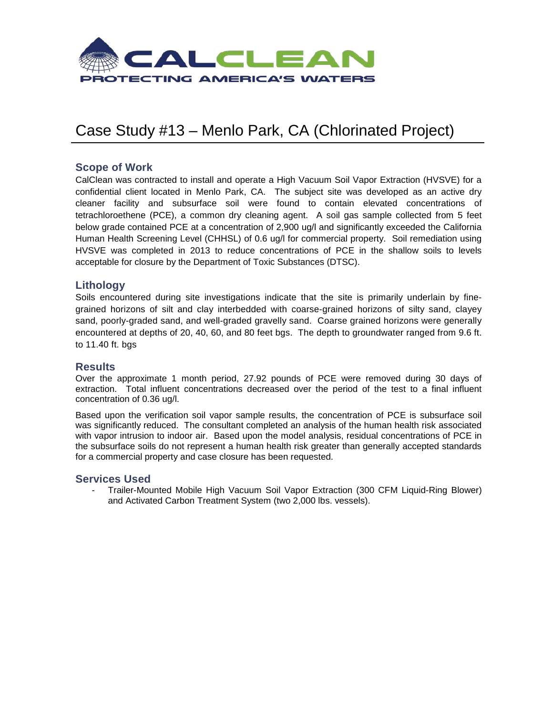

## Case Study #13 – Menlo Park, CA (Chlorinated Project)

## **Scope of Work**

CalClean was contracted to install and operate a High Vacuum Soil Vapor Extraction (HVSVE) for a confidential client located in Menlo Park, CA. The subject site was developed as an active dry cleaner facility and subsurface soil were found to contain elevated concentrations of tetrachloroethene (PCE), a common dry cleaning agent. A soil gas sample collected from 5 feet below grade contained PCE at a concentration of 2,900 ug/l and significantly exceeded the California Human Health Screening Level (CHHSL) of 0.6 ug/l for commercial property. Soil remediation using HVSVE was completed in 2013 to reduce concentrations of PCE in the shallow soils to levels acceptable for closure by the Department of Toxic Substances (DTSC).

## **Lithology**

Soils encountered during site investigations indicate that the site is primarily underlain by finegrained horizons of silt and clay interbedded with coarse-grained horizons of silty sand, clayey sand, poorly-graded sand, and well-graded gravelly sand. Coarse grained horizons were generally encountered at depths of 20, 40, 60, and 80 feet bgs. The depth to groundwater ranged from 9.6 ft. to 11.40 ft. bgs

### **Results**

Over the approximate 1 month period, 27.92 pounds of PCE were removed during 30 days of extraction. Total influent concentrations decreased over the period of the test to a final influent concentration of 0.36 ug/l.

Based upon the verification soil vapor sample results, the concentration of PCE is subsurface soil was significantly reduced. The consultant completed an analysis of the human health risk associated with vapor intrusion to indoor air. Based upon the model analysis, residual concentrations of PCE in the subsurface soils do not represent a human health risk greater than generally accepted standards for a commercial property and case closure has been requested.

#### **Services Used**

- Trailer-Mounted Mobile High Vacuum Soil Vapor Extraction (300 CFM Liquid-Ring Blower) and Activated Carbon Treatment System (two 2,000 lbs. vessels).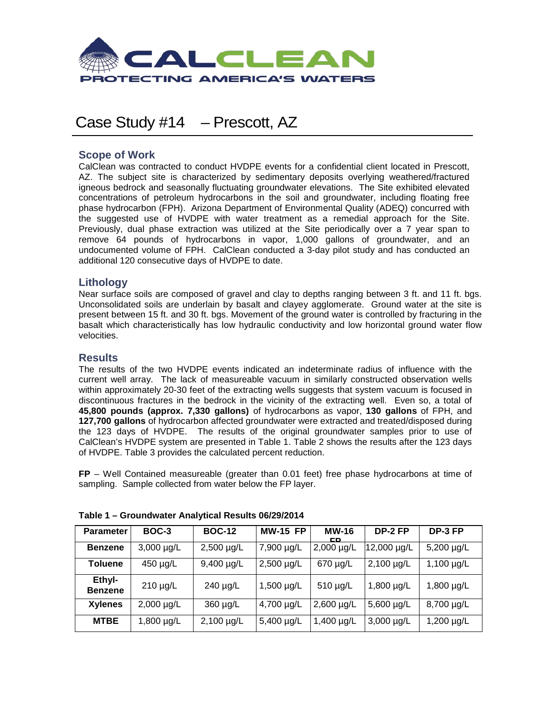

## Case Study #14 – Prescott, AZ

## **Scope of Work**

CalClean was contracted to conduct HVDPE events for a confidential client located in Prescott, AZ. The subject site is characterized by sedimentary deposits overlying weathered/fractured igneous bedrock and seasonally fluctuating groundwater elevations. The Site exhibited elevated concentrations of petroleum hydrocarbons in the soil and groundwater, including floating free phase hydrocarbon (FPH). Arizona Department of Environmental Quality (ADEQ) concurred with the suggested use of HVDPE with water treatment as a remedial approach for the Site. Previously, dual phase extraction was utilized at the Site periodically over a 7 year span to remove 64 pounds of hydrocarbons in vapor, 1,000 gallons of groundwater, and an undocumented volume of FPH. CalClean conducted a 3-day pilot study and has conducted an additional 120 consecutive days of HVDPE to date.

## **Lithology**

Near surface soils are composed of gravel and clay to depths ranging between 3 ft. and 11 ft. bgs. Unconsolidated soils are underlain by basalt and clayey agglomerate. Ground water at the site is present between 15 ft. and 30 ft. bgs. Movement of the ground water is controlled by fracturing in the basalt which characteristically has low hydraulic conductivity and low horizontal ground water flow velocities.

## **Results**

The results of the two HVDPE events indicated an indeterminate radius of influence with the current well array. The lack of measureable vacuum in similarly constructed observation wells within approximately 20-30 feet of the extracting wells suggests that system vacuum is focused in discontinuous fractures in the bedrock in the vicinity of the extracting well. Even so, a total of **45,800 pounds (approx. 7,330 gallons)** of hydrocarbons as vapor, **130 gallons** of FPH, and **127,700 gallons** of hydrocarbon affected groundwater were extracted and treated/disposed during the 123 days of HVDPE. The results of the original groundwater samples prior to use of CalClean's HVDPE system are presented in Table 1. Table 2 shows the results after the 123 days of HVDPE. Table 3 provides the calculated percent reduction.

**FP** – Well Contained measureable (greater than 0.01 feet) free phase hydrocarbons at time of sampling. Sample collected from water below the FP layer.

| <b>Parameter</b>         | BOC-3           | <b>BOC-12</b>   | <b>MW-15 FP</b> | <b>MW-16</b><br>CD. | DP-2 FP         | DP-3 FP         |
|--------------------------|-----------------|-----------------|-----------------|---------------------|-----------------|-----------------|
| <b>Benzene</b>           | $3,000 \mu g/L$ | 2,500 µg/L      | 7,900 µg/L      | $2,000 \mu g/L$     | 12,000 µg/L     | 5,200 µg/L      |
| Toluene                  | 450 µg/L        | 9,400 µg/L      | $2,500 \mu g/L$ | 670 µg/L            | $2,100 \mu g/L$ | $1,100 \mu g/L$ |
| Ethyl-<br><b>Benzene</b> | 210 µg/L        | 240 µg/L        | $1,500 \mu g/L$ | 510 µg/L            | $1,800 \mu g/L$ | 1,800 µg/L      |
| <b>Xylenes</b>           | $2,000 \mu g/L$ | 360 µg/L        | 4,700 µg/L      | $2,600 \mu g/L$     | 5,600 µg/L      | 8,700 µg/L      |
| <b>MTBE</b>              | 1,800 $\mu$ g/L | $2,100 \mu g/L$ | 5,400 µg/L      | $1,400 \mu g/L$     | $3,000 \mu g/L$ | 1,200 $\mu$ g/L |

#### **Table 1 – Groundwater Analytical Results 06/29/2014**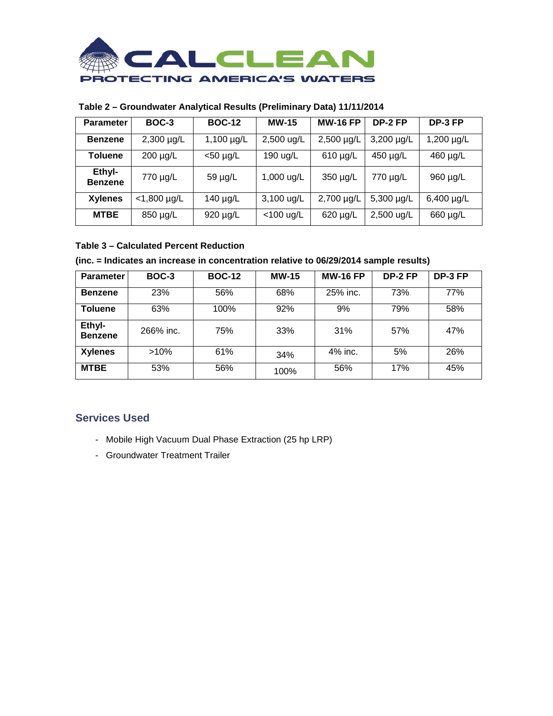

## **Table 2 – Groundwater Analytical Results (Preliminary Data) 11/11/2014**

| <b>Parameter</b>         | BOC-3           | <b>BOC-12</b>   | <b>MW-15</b> | <b>MW-16 FP</b> | DP-2 FP         | DP-3 FP         |
|--------------------------|-----------------|-----------------|--------------|-----------------|-----------------|-----------------|
| <b>Benzene</b>           | $2,300 \mu g/L$ | 1,100 $\mu$ g/L | 2,500 ug/L   | $2,500 \mu g/L$ | $3,200 \mu g/L$ | $1,200 \mu g/L$ |
| <b>Toluene</b>           | 200 µg/L        | $<$ 50 µg/L     | 190 ug/L     | $610 \mu g/L$   | 450 µg/L        | 460 µg/L        |
| Ethyl-<br><b>Benzene</b> | 770 µg/L        | 59 µg/L         | 1,000 ug/L   | 350 µg/L        | 770 µg/L        | 960 µg/L        |
| <b>Xylenes</b>           | $<$ 1,800 µg/L  | 140 $\mu$ g/L   | 3,100 ug/L   | 2,700 µg/L      | 5,300 µg/L      | $6,400 \mu g/L$ |
| <b>MTBE</b>              | 850 µg/L        | 920 µg/L        | $<$ 100 ug/L | 620 µg/L        | 2,500 ug/L      | 660 µg/L        |

### **Table 3 – Calculated Percent Reduction**

#### **(inc. = Indicates an increase in concentration relative to 06/29/2014 sample results)**

| <b>Parameter</b>         | <b>BOC-3</b> | <b>BOC-12</b> | <b>MW-15</b> | <b>MW-16 FP</b> | DP-2 FP | DP-3 FP |
|--------------------------|--------------|---------------|--------------|-----------------|---------|---------|
| <b>Benzene</b>           | <b>23%</b>   | 56%           | 68%          | 25% inc.        | 73%     | 77%     |
| <b>Toluene</b>           | 63%          | 100%          | 92%          | 9%              | 79%     | 58%     |
| Ethyl-<br><b>Benzene</b> | 266% inc.    | 75%           | 33%          | 31%             | 57%     | 47%     |
| <b>Xylenes</b>           | $>10\%$      | 61%           | 34%          | 4% inc.         | 5%      | 26%     |
| <b>MTBE</b>              | 53%          | 56%           | 100%         | 56%             | 17%     | 45%     |

- Mobile High Vacuum Dual Phase Extraction (25 hp LRP)
- Groundwater Treatment Trailer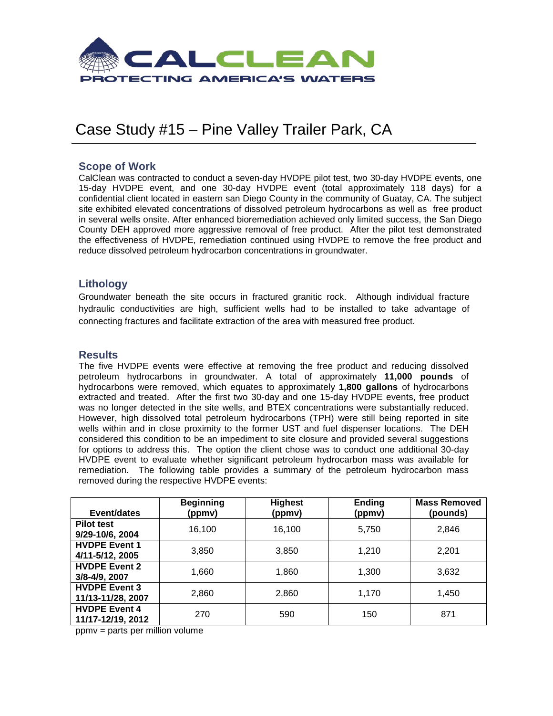

## Case Study #15 – Pine Valley Trailer Park, CA

## **Scope of Work**

CalClean was contracted to conduct a seven-day HVDPE pilot test, two 30-day HVDPE events, one 15-day HVDPE event, and one 30-day HVDPE event (total approximately 118 days) for a confidential client located in eastern san Diego County in the community of Guatay, CA. The subject site exhibited elevated concentrations of dissolved petroleum hydrocarbons as well as free product in several wells onsite. After enhanced bioremediation achieved only limited success, the San Diego County DEH approved more aggressive removal of free product. After the pilot test demonstrated the effectiveness of HVDPE, remediation continued using HVDPE to remove the free product and reduce dissolved petroleum hydrocarbon concentrations in groundwater.

## **Lithology**

Groundwater beneath the site occurs in fractured granitic rock. Although individual fracture hydraulic conductivities are high, sufficient wells had to be installed to take advantage of connecting fractures and facilitate extraction of the area with measured free product.

### **Results**

The five HVDPE events were effective at removing the free product and reducing dissolved petroleum hydrocarbons in groundwater. A total of approximately **11,000 pounds** of hydrocarbons were removed, which equates to approximately **1,800 gallons** of hydrocarbons extracted and treated. After the first two 30-day and one 15-day HVDPE events, free product was no longer detected in the site wells, and BTEX concentrations were substantially reduced. However, high dissolved total petroleum hydrocarbons (TPH) were still being reported in site wells within and in close proximity to the former UST and fuel dispenser locations. The DEH considered this condition to be an impediment to site closure and provided several suggestions for options to address this. The option the client chose was to conduct one additional 30-day HVDPE event to evaluate whether significant petroleum hydrocarbon mass was available for remediation. The following table provides a summary of the petroleum hydrocarbon mass removed during the respective HVDPE events:

| Event/dates          | <b>Beginning</b><br>(ppmv) | <b>Highest</b><br>(ppmv) | <b>Ending</b><br>(ppmv) | <b>Mass Removed</b><br>(pounds) |
|----------------------|----------------------------|--------------------------|-------------------------|---------------------------------|
|                      |                            |                          |                         |                                 |
| <b>Pilot test</b>    | 16,100                     | 16,100                   | 5,750                   | 2,846                           |
| 9/29-10/6, 2004      |                            |                          |                         |                                 |
| <b>HVDPE Event 1</b> |                            | 3,850                    |                         |                                 |
| 4/11-5/12, 2005      | 3,850                      |                          | 1,210                   | 2,201                           |
| <b>HVDPE Event 2</b> |                            |                          |                         |                                 |
| 3/8-4/9, 2007        | 1,660                      | 1,860                    | 1,300                   | 3,632                           |
| <b>HVDPE Event 3</b> |                            |                          |                         |                                 |
| 11/13-11/28, 2007    | 2,860                      | 2,860                    | 1,170                   | 1,450                           |
| <b>HVDPE Event 4</b> | 270                        | 590                      | 150                     | 871                             |
| 11/17-12/19, 2012    |                            |                          |                         |                                 |

ppmv = parts per million volume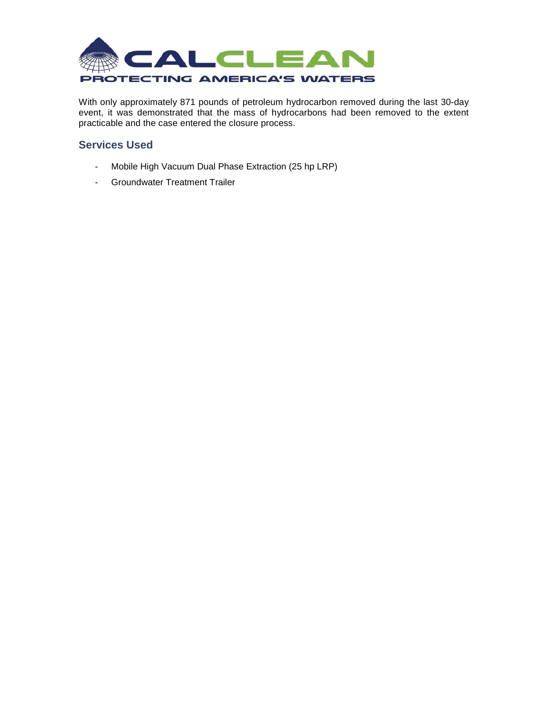

With only approximately 871 pounds of petroleum hydrocarbon removed during the last 30-day event, it was demonstrated that the mass of hydrocarbons had been removed to the extent practicable and the case entered the closure process.

- Mobile High Vacuum Dual Phase Extraction (25 hp LRP)
- Groundwater Treatment Trailer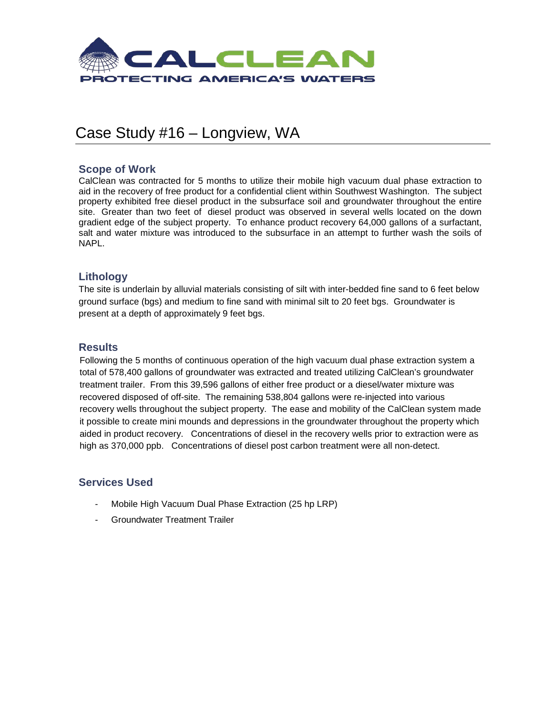

## Case Study #16 – Longview, WA

## **Scope of Work**

CalClean was contracted for 5 months to utilize their mobile high vacuum dual phase extraction to aid in the recovery of free product for a confidential client within Southwest Washington. The subject property exhibited free diesel product in the subsurface soil and groundwater throughout the entire site. Greater than two feet of diesel product was observed in several wells located on the down gradient edge of the subject property. To enhance product recovery 64,000 gallons of a surfactant, salt and water mixture was introduced to the subsurface in an attempt to further wash the soils of NAPL.

## **Lithology**

The site is underlain by alluvial materials consisting of silt with inter-bedded fine sand to 6 feet below ground surface (bgs) and medium to fine sand with minimal silt to 20 feet bgs. Groundwater is present at a depth of approximately 9 feet bgs.

## **Results**

Following the 5 months of continuous operation of the high vacuum dual phase extraction system a total of 578,400 gallons of groundwater was extracted and treated utilizing CalClean's groundwater treatment trailer. From this 39,596 gallons of either free product or a diesel/water mixture was recovered disposed of off-site. The remaining 538,804 gallons were re-injected into various recovery wells throughout the subject property. The ease and mobility of the CalClean system made it possible to create mini mounds and depressions in the groundwater throughout the property which aided in product recovery. Concentrations of diesel in the recovery wells prior to extraction were as high as 370,000 ppb. Concentrations of diesel post carbon treatment were all non-detect.

- Mobile High Vacuum Dual Phase Extraction (25 hp LRP)
- Groundwater Treatment Trailer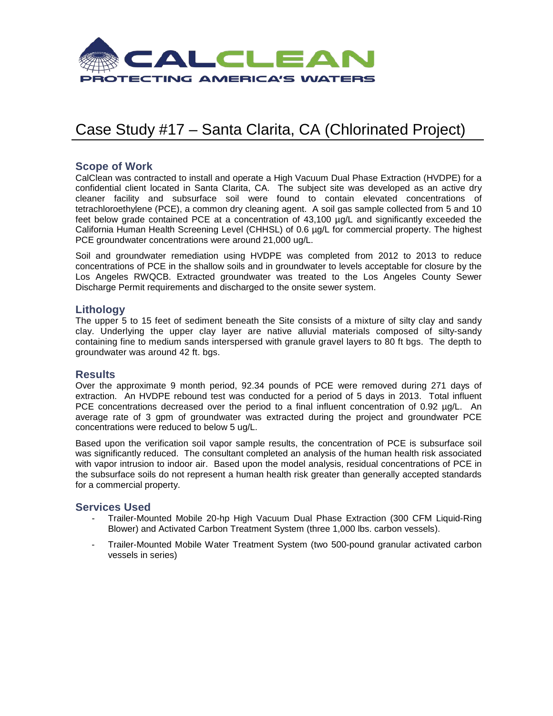

## Case Study #17 – Santa Clarita, CA (Chlorinated Project)

### **Scope of Work**

CalClean was contracted to install and operate a High Vacuum Dual Phase Extraction (HVDPE) for a confidential client located in Santa Clarita, CA. The subject site was developed as an active dry cleaner facility and subsurface soil were found to contain elevated concentrations of tetrachloroethylene (PCE), a common dry cleaning agent. A soil gas sample collected from 5 and 10 feet below grade contained PCE at a concentration of 43,100  $\mu$ g/L and significantly exceeded the California Human Health Screening Level (CHHSL) of 0.6 µg/L for commercial property. The highest PCE groundwater concentrations were around 21,000 ug/L.

Soil and groundwater remediation using HVDPE was completed from 2012 to 2013 to reduce concentrations of PCE in the shallow soils and in groundwater to levels acceptable for closure by the Los Angeles RWQCB. Extracted groundwater was treated to the Los Angeles County Sewer Discharge Permit requirements and discharged to the onsite sewer system.

## **Lithology**

The upper 5 to 15 feet of sediment beneath the Site consists of a mixture of silty clay and sandy clay. Underlying the upper clay layer are native alluvial materials composed of silty-sandy containing fine to medium sands interspersed with granule gravel layers to 80 ft bgs. The depth to groundwater was around 42 ft. bgs.

### **Results**

Over the approximate 9 month period, 92.34 pounds of PCE were removed during 271 days of extraction. An HVDPE rebound test was conducted for a period of 5 days in 2013. Total influent PCE concentrations decreased over the period to a final influent concentration of 0.92 µg/L. An average rate of 3 gpm of groundwater was extracted during the project and groundwater PCE concentrations were reduced to below 5 ug/L.

Based upon the verification soil vapor sample results, the concentration of PCE is subsurface soil was significantly reduced. The consultant completed an analysis of the human health risk associated with vapor intrusion to indoor air. Based upon the model analysis, residual concentrations of PCE in the subsurface soils do not represent a human health risk greater than generally accepted standards for a commercial property.

- Trailer-Mounted Mobile 20-hp High Vacuum Dual Phase Extraction (300 CFM Liquid-Ring Blower) and Activated Carbon Treatment System (three 1,000 lbs. carbon vessels).
- Trailer-Mounted Mobile Water Treatment System (two 500-pound granular activated carbon vessels in series)